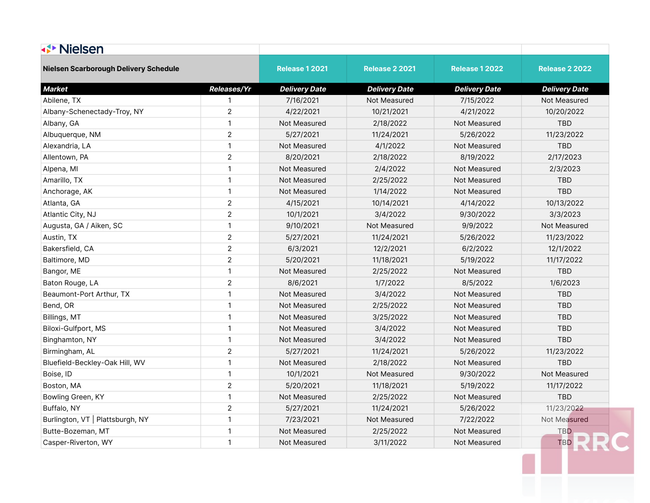| <b>√▶ Nielsen</b>                     |                    |                       |                       |                       |                       |
|---------------------------------------|--------------------|-----------------------|-----------------------|-----------------------|-----------------------|
| Nielsen Scarborough Delivery Schedule |                    | <b>Release 1 2021</b> | <b>Release 2 2021</b> | <b>Release 1 2022</b> | <b>Release 2 2022</b> |
| <b>Market</b>                         | <b>Releases/Yr</b> | <b>Delivery Date</b>  | <b>Delivery Date</b>  | <b>Delivery Date</b>  | <b>Delivery Date</b>  |
| Abilene, TX                           | $\mathbf{1}$       | 7/16/2021             | Not Measured          | 7/15/2022             | Not Measured          |
| Albany-Schenectady-Troy, NY           | $\overline{2}$     | 4/22/2021             | 10/21/2021            | 4/21/2022             | 10/20/2022            |
| Albany, GA                            | $\mathbf{1}$       | Not Measured          | 2/18/2022             | Not Measured          | <b>TBD</b>            |
| Albuquerque, NM                       | $\overline{2}$     | 5/27/2021             | 11/24/2021            | 5/26/2022             | 11/23/2022            |
| Alexandria, LA                        | $\mathbf{1}$       | Not Measured          | 4/1/2022              | Not Measured          | <b>TBD</b>            |
| Allentown, PA                         | $\overline{2}$     | 8/20/2021             | 2/18/2022             | 8/19/2022             | 2/17/2023             |
| Alpena, MI                            | $\mathbf{1}$       | Not Measured          | 2/4/2022              | Not Measured          | 2/3/2023              |
| Amarillo, TX                          | $\mathbf{1}$       | Not Measured          | 2/25/2022             | Not Measured          | <b>TBD</b>            |
| Anchorage, AK                         | $\mathbf{1}$       | Not Measured          | 1/14/2022             | Not Measured          | <b>TBD</b>            |
| Atlanta, GA                           | $\overline{2}$     | 4/15/2021             | 10/14/2021            | 4/14/2022             | 10/13/2022            |
| Atlantic City, NJ                     | $\overline{2}$     | 10/1/2021             | 3/4/2022              | 9/30/2022             | 3/3/2023              |
| Augusta, GA / Aiken, SC               | $\mathbf{1}$       | 9/10/2021             | Not Measured          | 9/9/2022              | Not Measured          |
| Austin, TX                            | $\sqrt{2}$         | 5/27/2021             | 11/24/2021            | 5/26/2022             | 11/23/2022            |
| Bakersfield, CA                       | $\overline{2}$     | 6/3/2021              | 12/2/2021             | 6/2/2022              | 12/1/2022             |
| Baltimore, MD                         | $\overline{2}$     | 5/20/2021             | 11/18/2021            | 5/19/2022             | 11/17/2022            |
| Bangor, ME                            | $\mathbf{1}$       | Not Measured          | 2/25/2022             | Not Measured          | <b>TBD</b>            |
| Baton Rouge, LA                       | $\overline{2}$     | 8/6/2021              | 1/7/2022              | 8/5/2022              | 1/6/2023              |
| Beaumont-Port Arthur, TX              | $\mathbf{1}$       | Not Measured          | 3/4/2022              | Not Measured          | <b>TBD</b>            |
| Bend, OR                              | $\mathbf{1}$       | Not Measured          | 2/25/2022             | Not Measured          | <b>TBD</b>            |
| Billings, MT                          | $\mathbf{1}$       | Not Measured          | 3/25/2022             | Not Measured          | <b>TBD</b>            |
| Biloxi-Gulfport, MS                   | $\mathbf{1}$       | Not Measured          | 3/4/2022              | Not Measured          | <b>TBD</b>            |
| Binghamton, NY                        | $\mathbf{1}$       | Not Measured          | 3/4/2022              | Not Measured          | <b>TBD</b>            |
| Birmingham, AL                        | $\overline{2}$     | 5/27/2021             | 11/24/2021            | 5/26/2022             | 11/23/2022            |
| Bluefield-Beckley-Oak Hill, WV        | $\mathbf{1}$       | Not Measured          | 2/18/2022             | Not Measured          | <b>TBD</b>            |
| Boise, ID                             | $\mathbf{1}$       | 10/1/2021             | Not Measured          | 9/30/2022             | Not Measured          |
| Boston, MA                            | $\overline{2}$     | 5/20/2021             | 11/18/2021            | 5/19/2022             | 11/17/2022            |
| Bowling Green, KY                     | $\mathbf{1}$       | Not Measured          | 2/25/2022             | Not Measured          | <b>TBD</b>            |
| Buffalo, NY                           | $\overline{2}$     | 5/27/2021             | 11/24/2021            | 5/26/2022             | 11/23/2022            |
| Burlington, VT   Plattsburgh, NY      | $\mathbf{1}$       | 7/23/2021             | Not Measured          | 7/22/2022             | Not Measured          |
| Butte-Bozeman, MT                     | $\mathbf{1}$       | Not Measured          | 2/25/2022             | Not Measured          | TBD                   |
| Casper-Riverton, WY                   | $\mathbf{1}$       | Not Measured          | 3/11/2022             | Not Measured          | TBD                   |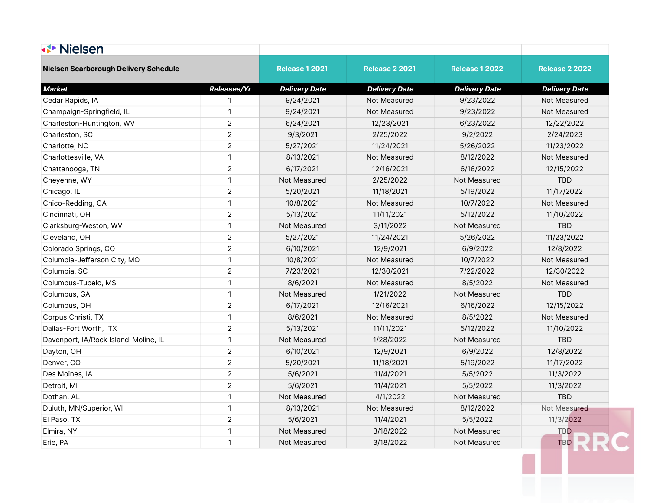| <b>√▶ Nielsen</b>                     |                    |                       |                       |                       |                       |
|---------------------------------------|--------------------|-----------------------|-----------------------|-----------------------|-----------------------|
| Nielsen Scarborough Delivery Schedule |                    | <b>Release 1 2021</b> | <b>Release 2 2021</b> | <b>Release 1 2022</b> | <b>Release 2 2022</b> |
| <b>Market</b>                         | <b>Releases/Yr</b> | <b>Delivery Date</b>  | <b>Delivery Date</b>  | <b>Delivery Date</b>  | <b>Delivery Date</b>  |
| Cedar Rapids, IA                      | $\mathbf{1}$       | 9/24/2021             | Not Measured          | 9/23/2022             | Not Measured          |
| Champaign-Springfield, IL             | $\mathbf{1}$       | 9/24/2021             | Not Measured          | 9/23/2022             | Not Measured          |
| Charleston-Huntington, WV             | $\overline{2}$     | 6/24/2021             | 12/23/2021            | 6/23/2022             | 12/22/2022            |
| Charleston, SC                        | $\overline{2}$     | 9/3/2021              | 2/25/2022             | 9/2/2022              | 2/24/2023             |
| Charlotte, NC                         | $\overline{2}$     | 5/27/2021             | 11/24/2021            | 5/26/2022             | 11/23/2022            |
| Charlottesville, VA                   | $\mathbf{1}$       | 8/13/2021             | Not Measured          | 8/12/2022             | Not Measured          |
| Chattanooga, TN                       | $\overline{2}$     | 6/17/2021             | 12/16/2021            | 6/16/2022             | 12/15/2022            |
| Cheyenne, WY                          | $\mathbf{1}$       | Not Measured          | 2/25/2022             | Not Measured          | <b>TBD</b>            |
| Chicago, IL                           | $\overline{2}$     | 5/20/2021             | 11/18/2021            | 5/19/2022             | 11/17/2022            |
| Chico-Redding, CA                     | $\mathbf{1}$       | 10/8/2021             | Not Measured          | 10/7/2022             | Not Measured          |
| Cincinnati, OH                        | $\overline{2}$     | 5/13/2021             | 11/11/2021            | 5/12/2022             | 11/10/2022            |
| Clarksburg-Weston, WV                 | $\mathbf{1}$       | Not Measured          | 3/11/2022             | Not Measured          | <b>TBD</b>            |
| Cleveland, OH                         | $\sqrt{2}$         | 5/27/2021             | 11/24/2021            | 5/26/2022             | 11/23/2022            |
| Colorado Springs, CO                  | $\overline{2}$     | 6/10/2021             | 12/9/2021             | 6/9/2022              | 12/8/2022             |
| Columbia-Jefferson City, MO           | $\mathbf{1}$       | 10/8/2021             | Not Measured          | 10/7/2022             | Not Measured          |
| Columbia, SC                          | $\overline{2}$     | 7/23/2021             | 12/30/2021            | 7/22/2022             | 12/30/2022            |
| Columbus-Tupelo, MS                   | $\mathbf{1}$       | 8/6/2021              | Not Measured          | 8/5/2022              | Not Measured          |
| Columbus, GA                          | $\mathbf{1}$       | Not Measured          | 1/21/2022             | Not Measured          | <b>TBD</b>            |
| Columbus, OH                          | $\overline{2}$     | 6/17/2021             | 12/16/2021            | 6/16/2022             | 12/15/2022            |
| Corpus Christi, TX                    | $\mathbf{1}$       | 8/6/2021              | Not Measured          | 8/5/2022              | Not Measured          |
| Dallas-Fort Worth, TX                 | $\overline{2}$     | 5/13/2021             | 11/11/2021            | 5/12/2022             | 11/10/2022            |
| Davenport, IA/Rock Island-Moline, IL  | $\mathbf{1}$       | Not Measured          | 1/28/2022             | Not Measured          | <b>TBD</b>            |
| Dayton, OH                            | $\overline{2}$     | 6/10/2021             | 12/9/2021             | 6/9/2022              | 12/8/2022             |
| Denver, CO                            | $\overline{2}$     | 5/20/2021             | 11/18/2021            | 5/19/2022             | 11/17/2022            |
| Des Moines, IA                        | $\overline{2}$     | 5/6/2021              | 11/4/2021             | 5/5/2022              | 11/3/2022             |
| Detroit, MI                           | $\overline{2}$     | 5/6/2021              | 11/4/2021             | 5/5/2022              | 11/3/2022             |
| Dothan, AL                            | $\mathbf{1}$       | Not Measured          | 4/1/2022              | Not Measured          | <b>TBD</b>            |
| Duluth, MN/Superior, WI               | $\mathbf{1}$       | 8/13/2021             | Not Measured          | 8/12/2022             | Not Measured          |
| El Paso, TX                           | $\overline{2}$     | 5/6/2021              | 11/4/2021             | 5/5/2022              | 11/3/2022             |
| Elmira, NY                            | $\mathbf{1}$       | Not Measured          | 3/18/2022             | Not Measured          | <b>TBD</b>            |
| Erie, PA                              | $\mathbf{1}$       | Not Measured          | 3/18/2022             | Not Measured          | <b>TBD</b>            |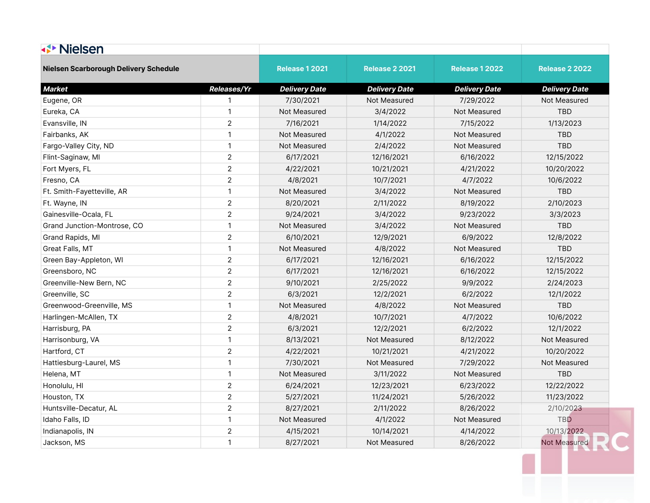| <b>√▶ Nielsen</b>                            |                    |                       |                       |                       |                       |
|----------------------------------------------|--------------------|-----------------------|-----------------------|-----------------------|-----------------------|
| <b>Nielsen Scarborough Delivery Schedule</b> |                    | <b>Release 1 2021</b> | <b>Release 2 2021</b> | <b>Release 1 2022</b> | <b>Release 2 2022</b> |
| <b>Market</b>                                | <b>Releases/Yr</b> | <b>Delivery Date</b>  | <b>Delivery Date</b>  | <b>Delivery Date</b>  | <b>Delivery Date</b>  |
| Eugene, OR                                   | $\mathbf{1}$       | 7/30/2021             | Not Measured          | 7/29/2022             | Not Measured          |
| Eureka, CA                                   | $\mathbf{1}$       | Not Measured          | 3/4/2022              | Not Measured          | <b>TBD</b>            |
| Evansville, IN                               | $\sqrt{2}$         | 7/16/2021             | 1/14/2022             | 7/15/2022             | 1/13/2023             |
| Fairbanks, AK                                | $\mathbf{1}$       | Not Measured          | 4/1/2022              | Not Measured          | <b>TBD</b>            |
| Fargo-Valley City, ND                        | $\mathbf{1}$       | Not Measured          | 2/4/2022              | Not Measured          | <b>TBD</b>            |
| Flint-Saginaw, MI                            | $\overline{2}$     | 6/17/2021             | 12/16/2021            | 6/16/2022             | 12/15/2022            |
| Fort Myers, FL                               | $\overline{2}$     | 4/22/2021             | 10/21/2021            | 4/21/2022             | 10/20/2022            |
| Fresno, CA                                   | $\overline{2}$     | 4/8/2021              | 10/7/2021             | 4/7/2022              | 10/6/2022             |
| Ft. Smith-Fayetteville, AR                   | $\mathbf{1}$       | Not Measured          | 3/4/2022              | Not Measured          | <b>TBD</b>            |
| Ft. Wayne, IN                                | $\overline{2}$     | 8/20/2021             | 2/11/2022             | 8/19/2022             | 2/10/2023             |
| Gainesville-Ocala, FL                        | $\overline{2}$     | 9/24/2021             | 3/4/2022              | 9/23/2022             | 3/3/2023              |
| Grand Junction-Montrose, CO                  | $\mathbf{1}$       | Not Measured          | 3/4/2022              | Not Measured          | <b>TBD</b>            |
| Grand Rapids, MI                             | $\overline{2}$     | 6/10/2021             | 12/9/2021             | 6/9/2022              | 12/8/2022             |
| Great Falls, MT                              | $\mathbf{1}$       | Not Measured          | 4/8/2022              | Not Measured          | <b>TBD</b>            |
| Green Bay-Appleton, WI                       | $\overline{2}$     | 6/17/2021             | 12/16/2021            | 6/16/2022             | 12/15/2022            |
| Greensboro, NC                               | $\overline{2}$     | 6/17/2021             | 12/16/2021            | 6/16/2022             | 12/15/2022            |
| Greenville-New Bern, NC                      | $\overline{c}$     | 9/10/2021             | 2/25/2022             | 9/9/2022              | 2/24/2023             |
| Greenville, SC                               | $\overline{2}$     | 6/3/2021              | 12/2/2021             | 6/2/2022              | 12/1/2022             |
| Greenwood-Greenville, MS                     | $\mathbf{1}$       | Not Measured          | 4/8/2022              | Not Measured          | TBD                   |
| Harlingen-McAllen, TX                        | $\overline{2}$     | 4/8/2021              | 10/7/2021             | 4/7/2022              | 10/6/2022             |
| Harrisburg, PA                               | $\overline{2}$     | 6/3/2021              | 12/2/2021             | 6/2/2022              | 12/1/2022             |
| Harrisonburg, VA                             | $\mathbf{1}$       | 8/13/2021             | Not Measured          | 8/12/2022             | Not Measured          |
| Hartford, CT                                 | $\overline{2}$     | 4/22/2021             | 10/21/2021            | 4/21/2022             | 10/20/2022            |
| Hattiesburg-Laurel, MS                       | $\mathbf{1}$       | 7/30/2021             | Not Measured          | 7/29/2022             | Not Measured          |
| Helena, MT                                   | $\mathbf{1}$       | Not Measured          | 3/11/2022             | Not Measured          | TBD                   |
| Honolulu, HI                                 | $\overline{2}$     | 6/24/2021             | 12/23/2021            | 6/23/2022             | 12/22/2022            |
| Houston, TX                                  | $\overline{2}$     | 5/27/2021             | 11/24/2021            | 5/26/2022             | 11/23/2022            |
| Huntsville-Decatur, AL                       | $\overline{2}$     | 8/27/2021             | 2/11/2022             | 8/26/2022             | 2/10/2023             |
| Idaho Falls, ID                              | $\mathbf{1}$       | Not Measured          | 4/1/2022              | Not Measured          | TBD                   |
| Indianapolis, IN                             | $\overline{2}$     | 4/15/2021             | 10/14/2021            | 4/14/2022             | 10/13/2022            |
| Jackson, MS                                  | $\mathbf{1}$       | 8/27/2021             | Not Measured          | 8/26/2022             | <b>Not Measured</b>   |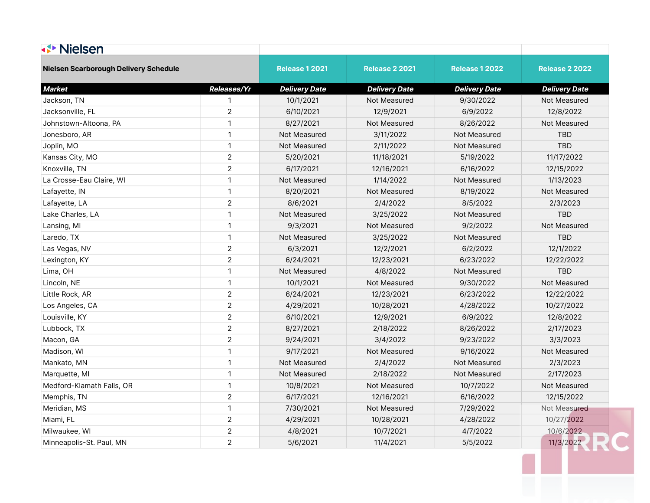| <b>√▶ Nielsen</b>                     |                    |                       |                       |                       |                       |
|---------------------------------------|--------------------|-----------------------|-----------------------|-----------------------|-----------------------|
| Nielsen Scarborough Delivery Schedule |                    | <b>Release 1 2021</b> | <b>Release 2 2021</b> | <b>Release 1 2022</b> | <b>Release 2 2022</b> |
| <b>Market</b>                         | <b>Releases/Yr</b> | <b>Delivery Date</b>  | <b>Delivery Date</b>  | <b>Delivery Date</b>  | <b>Delivery Date</b>  |
| Jackson, TN                           | 1                  | 10/1/2021             | Not Measured          | 9/30/2022             | Not Measured          |
| Jacksonville, FL                      | $\overline{c}$     | 6/10/2021             | 12/9/2021             | 6/9/2022              | 12/8/2022             |
| Johnstown-Altoona, PA                 | $\mathbf{1}$       | 8/27/2021             | Not Measured          | 8/26/2022             | Not Measured          |
| Jonesboro, AR                         | $\mathbf{1}$       | Not Measured          | 3/11/2022             | Not Measured          | <b>TBD</b>            |
| Joplin, MO                            | $\mathbf{1}$       | Not Measured          | 2/11/2022             | Not Measured          | <b>TBD</b>            |
| Kansas City, MO                       | $\overline{2}$     | 5/20/2021             | 11/18/2021            | 5/19/2022             | 11/17/2022            |
| Knoxville, TN                         | $\overline{2}$     | 6/17/2021             | 12/16/2021            | 6/16/2022             | 12/15/2022            |
| La Crosse-Eau Claire, WI              | $\mathbf{1}$       | Not Measured          | 1/14/2022             | Not Measured          | 1/13/2023             |
| Lafayette, IN                         | $\mathbf{1}$       | 8/20/2021             | Not Measured          | 8/19/2022             | Not Measured          |
| Lafayette, LA                         | $\overline{2}$     | 8/6/2021              | 2/4/2022              | 8/5/2022              | 2/3/2023              |
| Lake Charles, LA                      | $\mathbf{1}$       | Not Measured          | 3/25/2022             | Not Measured          | <b>TBD</b>            |
| Lansing, MI                           | $\mathbf{1}$       | 9/3/2021              | <b>Not Measured</b>   | 9/2/2022              | Not Measured          |
| Laredo, TX                            | $\mathbf{1}$       | Not Measured          | 3/25/2022             | Not Measured          | <b>TBD</b>            |
| Las Vegas, NV                         | $\overline{2}$     | 6/3/2021              | 12/2/2021             | 6/2/2022              | 12/1/2022             |
| Lexington, KY                         | $\boldsymbol{2}$   | 6/24/2021             | 12/23/2021            | 6/23/2022             | 12/22/2022            |
| Lima, OH                              | $\mathbf{1}$       | Not Measured          | 4/8/2022              | Not Measured          | <b>TBD</b>            |
| Lincoln, NE                           | $\mathbf{1}$       | 10/1/2021             | Not Measured          | 9/30/2022             | Not Measured          |
| Little Rock, AR                       | $\sqrt{2}$         | 6/24/2021             | 12/23/2021            | 6/23/2022             | 12/22/2022            |
| Los Angeles, CA                       | $\overline{2}$     | 4/29/2021             | 10/28/2021            | 4/28/2022             | 10/27/2022            |
| Louisville, KY                        | $\overline{2}$     | 6/10/2021             | 12/9/2021             | 6/9/2022              | 12/8/2022             |
| Lubbock, TX                           | $\overline{2}$     | 8/27/2021             | 2/18/2022             | 8/26/2022             | 2/17/2023             |
| Macon, GA                             | $\overline{c}$     | 9/24/2021             | 3/4/2022              | 9/23/2022             | 3/3/2023              |
| Madison, WI                           | $\mathbf{1}$       | 9/17/2021             | Not Measured          | 9/16/2022             | Not Measured          |
| Mankato, MN                           | $\mathbf{1}$       | Not Measured          | 2/4/2022              | Not Measured          | 2/3/2023              |
| Marquette, MI                         | $\mathbf{1}$       | Not Measured          | 2/18/2022             | Not Measured          | 2/17/2023             |
| Medford-Klamath Falls, OR             | $\mathbf{1}$       | 10/8/2021             | Not Measured          | 10/7/2022             | Not Measured          |
| Memphis, TN                           | $\overline{2}$     | 6/17/2021             | 12/16/2021            | 6/16/2022             | 12/15/2022            |
| Meridian, MS                          | $\mathbf{1}$       | 7/30/2021             | Not Measured          | 7/29/2022             | Not Measured          |
| Miami, FL                             | $\sqrt{2}$         | 4/29/2021             | 10/28/2021            | 4/28/2022             | 10/27/2022            |
| Milwaukee, WI                         | $\overline{2}$     | 4/8/2021              | 10/7/2021             | 4/7/2022              | 10/6/2022             |
| Minneapolis-St. Paul, MN              | $\overline{2}$     | 5/6/2021              | 11/4/2021             | 5/5/2022              | 11/3/2022             |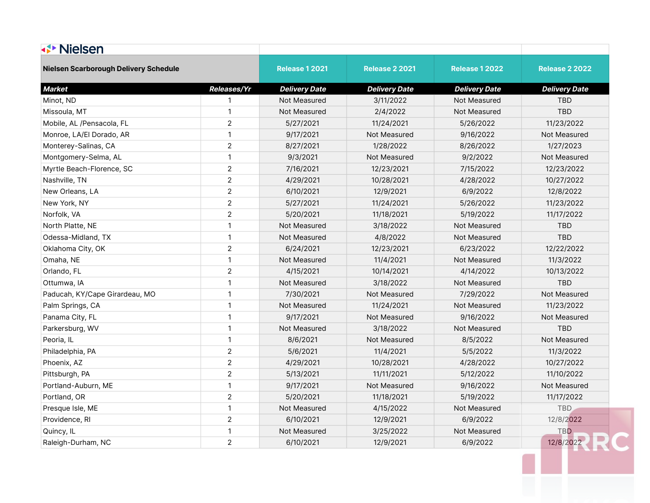| <b>√▶ Nielsen</b>                     |                    |                       |                       |                       |                       |  |
|---------------------------------------|--------------------|-----------------------|-----------------------|-----------------------|-----------------------|--|
| Nielsen Scarborough Delivery Schedule |                    | <b>Release 1 2021</b> | <b>Release 2 2021</b> | <b>Release 1 2022</b> | <b>Release 2 2022</b> |  |
| <b>Market</b>                         | <b>Releases/Yr</b> | <b>Delivery Date</b>  | <b>Delivery Date</b>  | <b>Delivery Date</b>  | <b>Delivery Date</b>  |  |
| Minot, ND                             | 1                  | Not Measured          | 3/11/2022             | Not Measured          | <b>TBD</b>            |  |
| Missoula, MT                          | $\mathbf{1}$       | Not Measured          | 2/4/2022              | Not Measured          | <b>TBD</b>            |  |
| Mobile, AL /Pensacola, FL             | $\overline{2}$     | 5/27/2021             | 11/24/2021            | 5/26/2022             | 11/23/2022            |  |
| Monroe, LA/El Dorado, AR              | $\mathbf{1}$       | 9/17/2021             | Not Measured          | 9/16/2022             | Not Measured          |  |
| Monterey-Salinas, CA                  | $\overline{2}$     | 8/27/2021             | 1/28/2022             | 8/26/2022             | 1/27/2023             |  |
| Montgomery-Selma, AL                  | $\mathbf{1}$       | 9/3/2021              | Not Measured          | 9/2/2022              | Not Measured          |  |
| Myrtle Beach-Florence, SC             | $\sqrt{2}$         | 7/16/2021             | 12/23/2021            | 7/15/2022             | 12/23/2022            |  |
| Nashville, TN                         | $\overline{2}$     | 4/29/2021             | 10/28/2021            | 4/28/2022             | 10/27/2022            |  |
| New Orleans, LA                       | $\overline{2}$     | 6/10/2021             | 12/9/2021             | 6/9/2022              | 12/8/2022             |  |
| New York, NY                          | $\overline{2}$     | 5/27/2021             | 11/24/2021            | 5/26/2022             | 11/23/2022            |  |
| Norfolk, VA                           | $\overline{2}$     | 5/20/2021             | 11/18/2021            | 5/19/2022             | 11/17/2022            |  |
| North Platte, NE                      | $\mathbf{1}$       | Not Measured          | 3/18/2022             | Not Measured          | <b>TBD</b>            |  |
| Odessa-Midland, TX                    | $\mathbf{1}$       | Not Measured          | 4/8/2022              | Not Measured          | <b>TBD</b>            |  |
| Oklahoma City, OK                     | $\overline{2}$     | 6/24/2021             | 12/23/2021            | 6/23/2022             | 12/22/2022            |  |
| Omaha, NE                             | $\mathbf{1}$       | Not Measured          | 11/4/2021             | Not Measured          | 11/3/2022             |  |
| Orlando, FL                           | $\overline{2}$     | 4/15/2021             | 10/14/2021            | 4/14/2022             | 10/13/2022            |  |
| Ottumwa, IA                           | $\mathbf{1}$       | Not Measured          | 3/18/2022             | Not Measured          | <b>TBD</b>            |  |
| Paducah, KY/Cape Girardeau, MO        | $\mathbf{1}$       | 7/30/2021             | Not Measured          | 7/29/2022             | Not Measured          |  |
| Palm Springs, CA                      | $\mathbf{1}$       | Not Measured          | 11/24/2021            | Not Measured          | 11/23/2022            |  |
| Panama City, FL                       | $\mathbf{1}$       | 9/17/2021             | Not Measured          | 9/16/2022             | Not Measured          |  |
| Parkersburg, WV                       | $\mathbf{1}$       | Not Measured          | 3/18/2022             | Not Measured          | <b>TBD</b>            |  |
| Peoria, IL                            | $\mathbf{1}$       | 8/6/2021              | Not Measured          | 8/5/2022              | Not Measured          |  |
| Philadelphia, PA                      | $\overline{2}$     | 5/6/2021              | 11/4/2021             | 5/5/2022              | 11/3/2022             |  |
| Phoenix, AZ                           | $\overline{2}$     | 4/29/2021             | 10/28/2021            | 4/28/2022             | 10/27/2022            |  |
| Pittsburgh, PA                        | $\overline{2}$     | 5/13/2021             | 11/11/2021            | 5/12/2022             | 11/10/2022            |  |
| Portland-Auburn, ME                   | $\mathbf{1}$       | 9/17/2021             | Not Measured          | 9/16/2022             | Not Measured          |  |
| Portland, OR                          | $\sqrt{2}$         | 5/20/2021             | 11/18/2021            | 5/19/2022             | 11/17/2022            |  |
| Presque Isle, ME                      | $\mathbf{1}$       | Not Measured          | 4/15/2022             | Not Measured          | <b>TBD</b>            |  |
| Providence, RI                        | $\overline{2}$     | 6/10/2021             | 12/9/2021             | 6/9/2022              | 12/8/2022             |  |
| Quincy, IL                            | $\mathbf{1}$       | Not Measured          | 3/25/2022             | Not Measured          | <b>TBD</b>            |  |
| Raleigh-Durham, NC                    | $\overline{2}$     | 6/10/2021             | 12/9/2021             | 6/9/2022              | 12/8/2022             |  |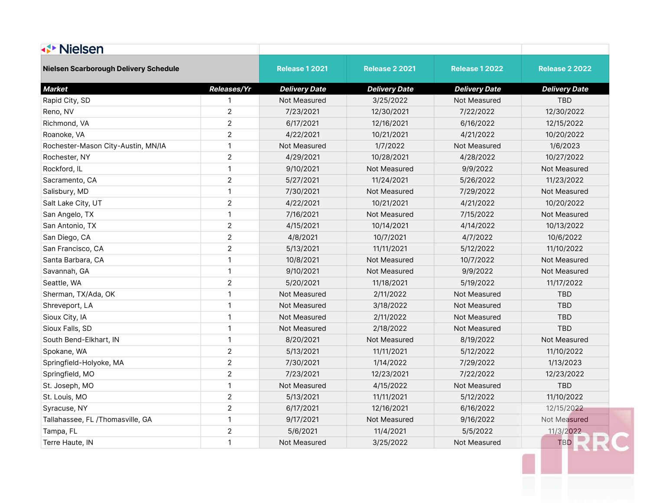| <b>√<sup>→</sup> Nielsen</b>                 |                    |                       |                       |                       |                       |
|----------------------------------------------|--------------------|-----------------------|-----------------------|-----------------------|-----------------------|
| <b>Nielsen Scarborough Delivery Schedule</b> |                    | <b>Release 1 2021</b> | <b>Release 2 2021</b> | <b>Release 1 2022</b> | <b>Release 2 2022</b> |
| <b>Market</b>                                | <b>Releases/Yr</b> | <b>Delivery Date</b>  | <b>Delivery Date</b>  | <b>Delivery Date</b>  | <b>Delivery Date</b>  |
| Rapid City, SD                               | 1                  | Not Measured          | 3/25/2022             | Not Measured          | <b>TBD</b>            |
| Reno, NV                                     | $\overline{2}$     | 7/23/2021             | 12/30/2021            | 7/22/2022             | 12/30/2022            |
| Richmond, VA                                 | $\overline{c}$     | 6/17/2021             | 12/16/2021            | 6/16/2022             | 12/15/2022            |
| Roanoke, VA                                  | $\overline{2}$     | 4/22/2021             | 10/21/2021            | 4/21/2022             | 10/20/2022            |
| Rochester-Mason City-Austin, MN/IA           | $\mathbf{1}$       | Not Measured          | 1/7/2022              | Not Measured          | 1/6/2023              |
| Rochester, NY                                | $\overline{2}$     | 4/29/2021             | 10/28/2021            | 4/28/2022             | 10/27/2022            |
| Rockford, IL                                 | $\mathbf{1}$       | 9/10/2021             | Not Measured          | 9/9/2022              | Not Measured          |
| Sacramento, CA                               | $\overline{c}$     | 5/27/2021             | 11/24/2021            | 5/26/2022             | 11/23/2022            |
| Salisbury, MD                                | $\mathbf{1}$       | 7/30/2021             | Not Measured          | 7/29/2022             | Not Measured          |
| Salt Lake City, UT                           | $\overline{2}$     | 4/22/2021             | 10/21/2021            | 4/21/2022             | 10/20/2022            |
| San Angelo, TX                               | $\mathbf{1}$       | 7/16/2021             | Not Measured          | 7/15/2022             | Not Measured          |
| San Antonio, TX                              | $\sqrt{2}$         | 4/15/2021             | 10/14/2021            | 4/14/2022             | 10/13/2022            |
| San Diego, CA                                | $\overline{c}$     | 4/8/2021              | 10/7/2021             | 4/7/2022              | 10/6/2022             |
| San Francisco, CA                            | $\overline{2}$     | 5/13/2021             | 11/11/2021            | 5/12/2022             | 11/10/2022            |
| Santa Barbara, CA                            | $\mathbf{1}$       | 10/8/2021             | Not Measured          | 10/7/2022             | Not Measured          |
| Savannah, GA                                 | 1                  | 9/10/2021             | Not Measured          | 9/9/2022              | Not Measured          |
| Seattle, WA                                  | $\overline{2}$     | 5/20/2021             | 11/18/2021            | 5/19/2022             | 11/17/2022            |
| Sherman, TX/Ada, OK                          | $\mathbf{1}$       | Not Measured          | 2/11/2022             | Not Measured          | <b>TBD</b>            |
| Shreveport, LA                               | $\mathbf{1}$       | Not Measured          | 3/18/2022             | Not Measured          | <b>TBD</b>            |
| Sioux City, IA                               | $\mathbf{1}$       | Not Measured          | 2/11/2022             | Not Measured          | <b>TBD</b>            |
| Sioux Falls, SD                              | $\mathbf{1}$       | Not Measured          | 2/18/2022             | Not Measured          | <b>TBD</b>            |
| South Bend-Elkhart, IN                       | $\mathbf{1}$       | 8/20/2021             | Not Measured          | 8/19/2022             | Not Measured          |
| Spokane, WA                                  | $\overline{2}$     | 5/13/2021             | 11/11/2021            | 5/12/2022             | 11/10/2022            |
| Springfield-Holyoke, MA                      | $\overline{c}$     | 7/30/2021             | 1/14/2022             | 7/29/2022             | 1/13/2023             |
| Springfield, MO                              | $\overline{2}$     | 7/23/2021             | 12/23/2021            | 7/22/2022             | 12/23/2022            |
| St. Joseph, MO                               | 1                  | <b>Not Measured</b>   | 4/15/2022             | Not Measured          | <b>TBD</b>            |
| St. Louis, MO                                | $\mathbf{2}$       | 5/13/2021             | 11/11/2021            | 5/12/2022             | 11/10/2022            |
| Syracuse, NY                                 | $\overline{2}$     | 6/17/2021             | 12/16/2021            | 6/16/2022             | 12/15/2022            |
| Tallahassee, FL /Thomasville, GA             | $\mathbf{1}$       | 9/17/2021             | Not Measured          | 9/16/2022             | Not Measured          |
| Tampa, FL                                    | $\overline{2}$     | 5/6/2021              | 11/4/2021             | 5/5/2022              | 11/3/2022             |
| Terre Haute, IN                              | $\mathbf{1}$       | Not Measured          | 3/25/2022             | Not Measured          | TBD                   |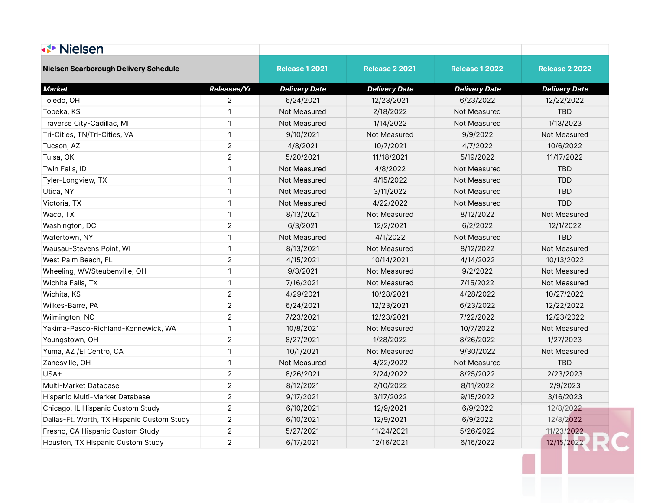| <b>√▶ Nielsen</b>                            |                    |                       |                       |                       |                       |
|----------------------------------------------|--------------------|-----------------------|-----------------------|-----------------------|-----------------------|
| <b>Nielsen Scarborough Delivery Schedule</b> |                    | <b>Release 1 2021</b> | <b>Release 2 2021</b> | <b>Release 1 2022</b> | <b>Release 2 2022</b> |
| <b>Market</b>                                | <b>Releases/Yr</b> | <b>Delivery Date</b>  | <b>Delivery Date</b>  | <b>Delivery Date</b>  | <b>Delivery Date</b>  |
| Toledo, OH                                   | $\mathbf{2}$       | 6/24/2021             | 12/23/2021            | 6/23/2022             | 12/22/2022            |
| Topeka, KS                                   | $\overline{1}$     | Not Measured          | 2/18/2022             | Not Measured          | <b>TBD</b>            |
| Traverse City-Cadillac, MI                   | $\mathbf{1}$       | Not Measured          | 1/14/2022             | Not Measured          | 1/13/2023             |
| Tri-Cities, TN/Tri-Cities, VA                | $\mathbf{1}$       | 9/10/2021             | Not Measured          | 9/9/2022              | Not Measured          |
| Tucson, AZ                                   | $\overline{2}$     | 4/8/2021              | 10/7/2021             | 4/7/2022              | 10/6/2022             |
| Tulsa, OK                                    | $\overline{2}$     | 5/20/2021             | 11/18/2021            | 5/19/2022             | 11/17/2022            |
| Twin Falls, ID                               | $\overline{1}$     | Not Measured          | 4/8/2022              | Not Measured          | <b>TBD</b>            |
| Tyler-Longview, TX                           | $\overline{1}$     | Not Measured          | 4/15/2022             | Not Measured          | <b>TBD</b>            |
| Utica, NY                                    | $\mathbf{1}$       | Not Measured          | 3/11/2022             | Not Measured          | TBD                   |
| Victoria, TX                                 | $\mathbf{1}$       | Not Measured          | 4/22/2022             | Not Measured          | TBD                   |
| Waco, TX                                     | $\mathbf{1}$       | 8/13/2021             | Not Measured          | 8/12/2022             | Not Measured          |
| Washington, DC                               | $\overline{2}$     | 6/3/2021              | 12/2/2021             | 6/2/2022              | 12/1/2022             |
| Watertown, NY                                | $\mathbf{1}$       | Not Measured          | 4/1/2022              | Not Measured          | <b>TBD</b>            |
| Wausau-Stevens Point, WI                     | $\mathbf{1}$       | 8/13/2021             | Not Measured          | 8/12/2022             | Not Measured          |
| West Palm Beach, FL                          | $\overline{2}$     | 4/15/2021             | 10/14/2021            | 4/14/2022             | 10/13/2022            |
| Wheeling, WV/Steubenville, OH                | $\mathbf{1}$       | 9/3/2021              | Not Measured          | 9/2/2022              | Not Measured          |
| Wichita Falls, TX                            | $\mathbf{1}$       | 7/16/2021             | Not Measured          | 7/15/2022             | Not Measured          |
| Wichita, KS                                  | $\overline{2}$     | 4/29/2021             | 10/28/2021            | 4/28/2022             | 10/27/2022            |
| Wilkes-Barre, PA                             | $\sqrt{2}$         | 6/24/2021             | 12/23/2021            | 6/23/2022             | 12/22/2022            |
| Wilmington, NC                               | $\overline{2}$     | 7/23/2021             | 12/23/2021            | 7/22/2022             | 12/23/2022            |
| Yakima-Pasco-Richland-Kennewick, WA          | $\mathbf{1}$       | 10/8/2021             | Not Measured          | 10/7/2022             | Not Measured          |
| Youngstown, OH                               | $\overline{2}$     | 8/27/2021             | 1/28/2022             | 8/26/2022             | 1/27/2023             |
| Yuma, AZ /El Centro, CA                      | $\overline{1}$     | 10/1/2021             | Not Measured          | 9/30/2022             | Not Measured          |
| Zanesville, OH                               | $\mathbf{1}$       | Not Measured          | 4/22/2022             | Not Measured          | <b>TBD</b>            |
| USA+                                         | $\sqrt{2}$         | 8/26/2021             | 2/24/2022             | 8/25/2022             | 2/23/2023             |
| Multi-Market Database                        | $\overline{2}$     | 8/12/2021             | 2/10/2022             | 8/11/2022             | 2/9/2023              |
| Hispanic Multi-Market Database               | $\overline{2}$     | 9/17/2021             | 3/17/2022             | 9/15/2022             | 3/16/2023             |
| Chicago, IL Hispanic Custom Study            | $\overline{2}$     | 6/10/2021             | 12/9/2021             | 6/9/2022              | 12/8/2022             |
| Dallas-Ft. Worth, TX Hispanic Custom Study   | $\overline{2}$     | 6/10/2021             | 12/9/2021             | 6/9/2022              | 12/8/2022             |
| Fresno, CA Hispanic Custom Study             | $\overline{2}$     | 5/27/2021             | 11/24/2021            | 5/26/2022             | 11/23/2022            |
| Houston, TX Hispanic Custom Study            | $\overline{2}$     | 6/17/2021             | 12/16/2021            | 6/16/2022             | 12/15/2022            |